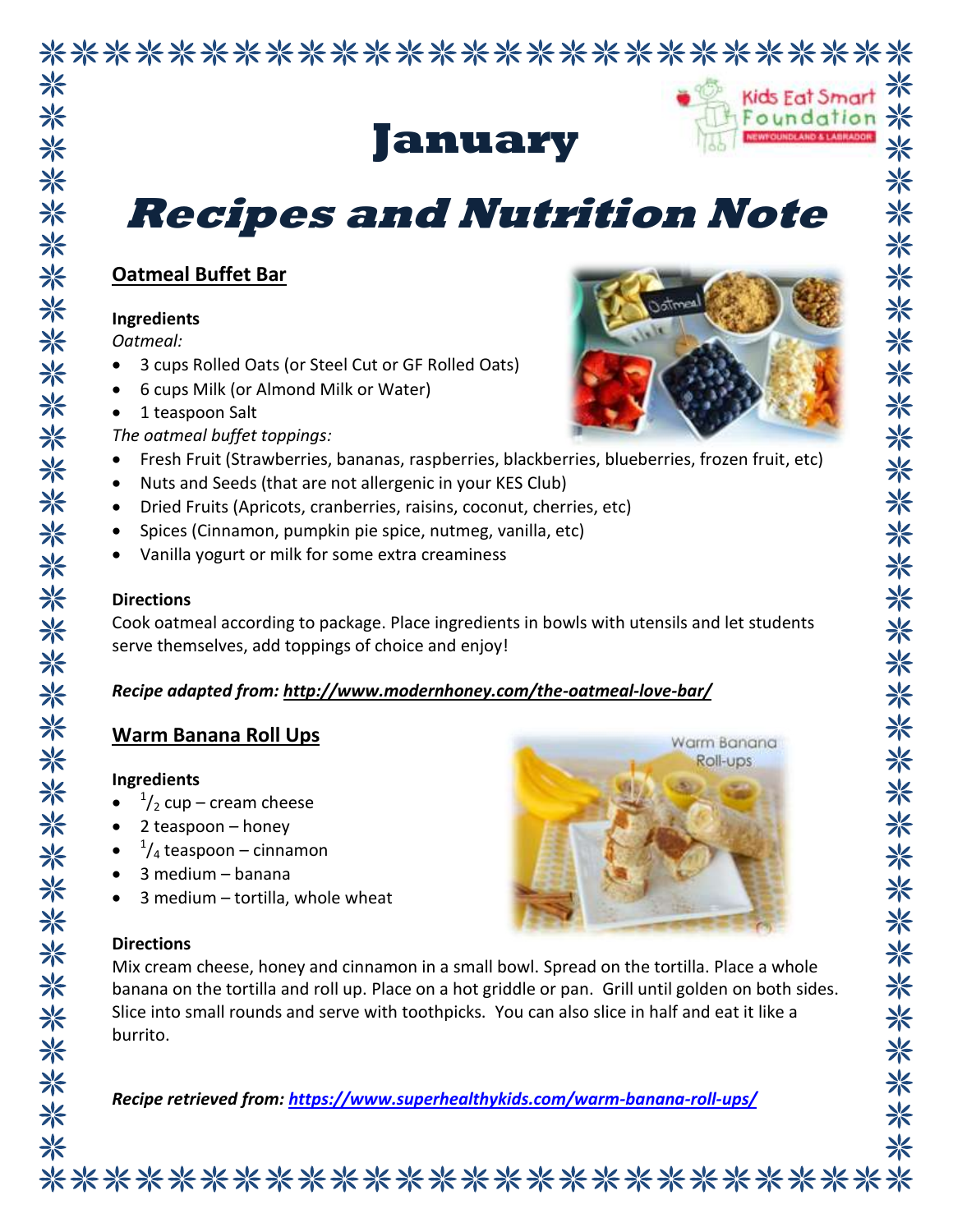### \*\*\*\*\*\*\*\*\*\*\*\*\*\*\*\*\*\*\*\*\*\*\*\*\*\*\*\* ☀



## **January**

## **Recipes and Nutrition Note**

#### **Oatmeal Buffet Bar**

#### **Ingredients**

*Oatmeal:*

\*

米

\*

\*

☀

- 3 cups Rolled Oats (or Steel Cut or GF Rolled Oats)
- 6 cups Milk (or Almond Milk or Water)
- 1 teaspoon Salt
- *The oatmeal buffet toppings:*
- Fresh Fruit (Strawberries, bananas, raspberries, blackberries, blueberries, frozen fruit, etc)
- Nuts and Seeds (that are not allergenic in your KES Club)
- Dried Fruits (Apricots, cranberries, raisins, coconut, cherries, etc)
- Spices (Cinnamon, pumpkin pie spice, nutmeg, vanilla, etc)
- Vanilla yogurt or milk for some extra creaminess

#### **Directions**

Cook oatmeal according to package. Place ingredients in bowls with utensils and let students serve themselves, add toppings of choice and enjoy!

#### *Recipe adapted from:<http://www.modernhoney.com/the-oatmeal-love-bar/>*

#### **Warm Banana Roll Ups**

#### **Ingredients**

- $\bullet$  $\frac{1}{2}$  cup – cream cheese
- 2 teaspoon honey
- $\bullet$  $\frac{1}{4}$  teaspoon – cinnamon
- 3 medium banana
- 3 medium tortilla, whole wheat

#### **Directions**

Mix cream cheese, honey and cinnamon in a small bowl. Spread on the tortilla. Place a whole banana on the tortilla and roll up. Place on a hot griddle or pan. Grill until golden on both sides. Slice into small rounds and serve with toothpicks. You can also slice in half and eat it like a burrito.

*Recipe retrieved from:<https://www.superhealthykids.com/warm-banana-roll-ups/>*